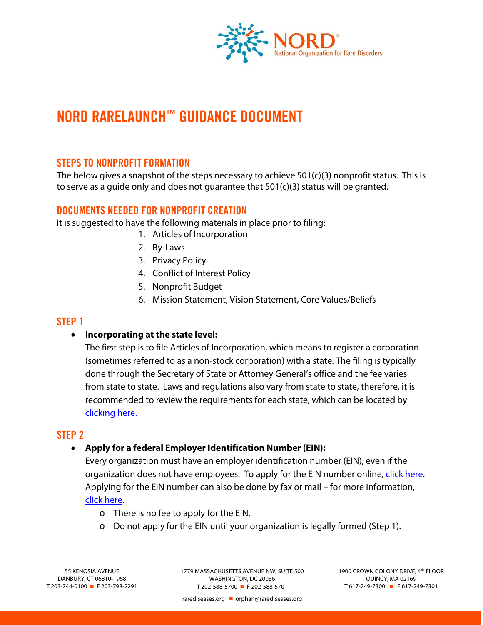

# **NORD RARELAUNCH**™ **GUIDANCE DOCUMENT**

# **STEPS TO NONPROFIT FORMATION**

The below gives a snapshot of the steps necessary to achieve 501(c)(3) nonprofit status. This is to serve as a quide only and does not quarantee that  $501(c)(3)$  status will be granted.

# **DOCUMENTS NEEDED FOR NONPROFIT CREATION**

It is suggested to have the following materials in place prior to filing:

- 1. Articles of Incorporation
- 2. By-Laws
- 3. Privacy Policy
- 4. Conflict of Interest Policy
- 5. Nonprofit Budget
- 6. Mission Statement, Vision Statement, Core Values/Beliefs

# **STEP 1**

### • **Incorporating at the state level:**

The first step is to file Articles of Incorporation, which means to register a corporation (sometimes referred to as a non-stock corporation) with a state. The filing is typically done through the Secretary of State or Attorney General's office and the fee varies from state to state. Laws and regulations also vary from state to state, therefore, it is recommended to review the requirements for each state, which can be located by [clicking here.](https://www.irs.gov/charities-non-profits/state-nonprofit-incorporation-forms-and-information)

# **STEP 2**

### • **Apply for a federal Employer Identification Number (EIN):**

Every organization must have an employer identification number (EIN), even if the organization does not have employees. To apply for the EIN number online, [click here.](https://www.irs.gov/businesses/small-businesses-self-employed/apply-for-an-employer-identification-number-ein-online)  Applying for the EIN number can also be done by fax or mail – for more information, [click here.](https://www.irs.gov/businesses/small-businesses-self-employed/how-to-apply-for-an-ein)

- o There is no fee to apply for the EIN.
- $\circ$  Do not apply for the EIN until your organization is legally formed (Step 1).

1779 MASSACHUSETTS AVENUE NW, SUITE 500 WASHINGTON, DC 20036 T 202-588-5700 F 202-588-5701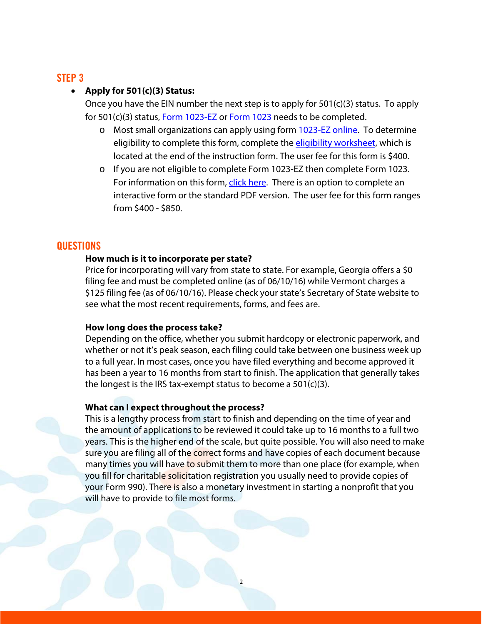# **STEP 3**

## • **Apply for 501(c)(3) Status:**

Once you have the EIN number the next step is to apply for 501(c)(3) status. To apply for 501(c)(3) status[, Form 1023-EZ](https://www.irs.gov/uac/about-form-1023ez) or [Form 1023](https://www.irs.gov/uac/about-form-1023) needs to be completed.

- o Most small organizations can apply using form [1023-EZ online.](https://www.irs.gov/uac/about-form-1023ez) To determine eligibility to complete this form, complete the [eligibility worksheet,](https://www.irs.gov/pub/irs-pdf/i1023ez.pdf) which is located at the end of the instruction form. The user fee for this form is \$400.
- o If you are not eligible to complete Form 1023-EZ then complete Form 1023. For information on this form, [click here.](https://www.irs.gov/uac/about-form-1023) There is an option to complete an interactive form or the standard PDF version. The user fee for this form ranges from \$400 - \$850.

# **QUESTIONS**

## **How much is it to incorporate per state?**

Price for incorporating will vary from state to state. For example, Georgia offers a \$0 filing fee and must be completed online (as of 06/10/16) while Vermont charges a \$125 filing fee (as of 06/10/16). Please check your state's Secretary of State website to see what the most recent requirements, forms, and fees are.

### **How long does the process take?**

Depending on the office, whether you submit hardcopy or electronic paperwork, and whether or not it's peak season, each filing could take between one business week up to a full year. In most cases, once you have filed everything and become approved it has been a year to 16 months from start to finish. The application that generally takes the longest is the IRS tax-exempt status to become a 501(c)(3).

### **What can I expect throughout the process?**

This is a lengthy process from start to finish and depending on the time of year and the amount of applications to be reviewed it could take up to 16 months to a full two years. This is the higher end of the scale, but quite possible. You will also need to make sure you are filing all of the correct forms and have copies of each document because many times you will have to submit them to more than one place (for example, when you fill for charitable solicitation registration you usually need to provide copies of your Form 990). There is also a monetary investment in starting a nonprofit that you will have to provide to file most forms.

2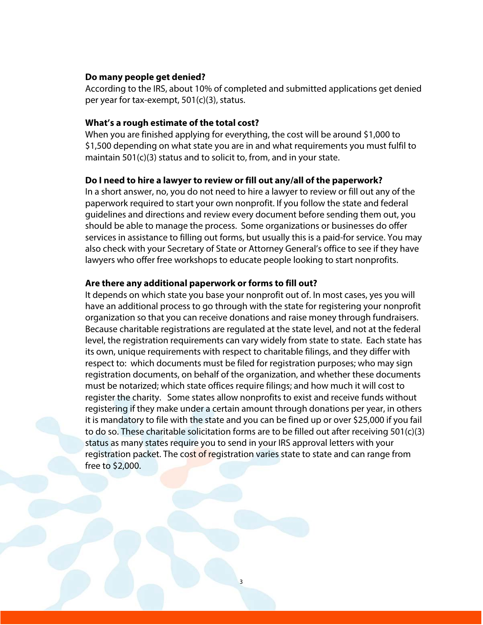#### **Do many people get denied?**

According to the IRS, about 10% of completed and submitted applications get denied per year for tax-exempt, 501(c)(3), status.

#### **What's a rough estimate of the total cost?**

When you are finished applying for everything, the cost will be around \$1,000 to \$1,500 depending on what state you are in and what requirements you must fulfil to maintain 501(c)(3) status and to solicit to, from, and in your state.

#### **Do I need to hire a lawyer to review or fill out any/all of the paperwork?**

In a short answer, no, you do not need to hire a lawyer to review or fill out any of the paperwork required to start your own nonprofit. If you follow the state and federal guidelines and directions and review every document before sending them out, you should be able to manage the process. Some organizations or businesses do offer services in assistance to filling out forms, but usually this is a paid-for service. You may also check with your Secretary of State or Attorney General's office to see if they have lawyers who offer free workshops to educate people looking to start nonprofits.

#### **Are there any additional paperwork or forms to fill out?**

It depends on which state you base your nonprofit out of. In most cases, yes you will have an additional process to go through with the state for registering your nonprofit organization so that you can receive donations and raise money through fundraisers. Because charitable registrations are regulated at the state level, and not at the federal level, the registration requirements can vary widely from state to state. Each state has its own, unique requirements with respect to charitable filings, and they differ with respect to: which documents must be filed for registration purposes; who may sign registration documents, on behalf of the organization, and whether these documents must be notarized; which state offices require filings; and how much it will cost to register the charity. Some states allow nonprofits to exist and receive funds without registering if they make under a certain amount through donations per year, in others it is mandatory to file with the state and you can be fined up or over \$25,000 if you fail to do so. These charitable solicitation forms are to be filled out after receiving 501(c)(3) status as many states require you to send in your IRS approval letters with your registration packet. The cost of registration varies state to state and can range from free to \$2,000.

3